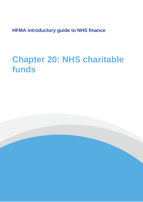**HFMA introductory guide to NHS finance**

# **Chapter 20: NHS charitable funds**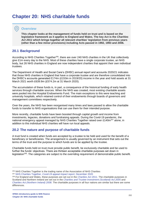## **Chapter 20: NHS charitable funds**

## **Overview**

**This chapter looks at the management of funds held on trust and is based on the legislative framework as it applies to England and Wales. The key Act is the** *Charities Act 2011* **which brings together all relevant charities' legislation from previous years (other than a few minor provisions) including Acts passed in 1992, 1993 and 2006.**

## **20.1 Background**

According to NHS Charities Together<sup>256</sup>, there are over 240 NHS charities in the UK that collectively give £1m every day to the NHS. Most of these charities have a single corporate trustee, an NHS body, but 26 NHS charities in England are now independent charities that appoint their own individual trustees.

The Department of Health and Social Care's (DHSC) annual report and accounts 2020/21 indicates that those NHS charities in England that have a corporate trustee and are therefore consolidated into the DHSC's accounts generated £174m (£153m in 2019/20) income in the year and hold assets at 31 March 2021 worth £639.9m (£574.2m at 31 March 2020).

The accumulation of these funds is, in part, a consequence of the historical funding of early health services through charitable sources. When the NHS was created, most existing charitable assets were pooled into the Hospital Endowments Fund. The main exceptions to this were teaching and university hospitals, which retained control of their endowments through boards of governors and management committees respectively.

Over the years, the NHS has been reorganised many times and laws passed to allow the charitable funds to transfer to NHS organisations that can use them for their intended purpose.

More recently, charitable funds have been boosted through capital growth and income from investments, legacies, donations and fundraising appeals. During the Covid-19 pandemic, the national emergency appeal managed by NHS Charities Together raised over £140 $m^{257}$  alone, in addition to this individual NHS charities will have run local appeals.

## **20.2 The nature and purpose of charitable funds**

A trust fund is created when funds are accepted by a trustee to be held and used for the benefit of a beneficiary or beneficiaries. The arrangement is usually governed by an instrument that sets out the terms of the trust and the purpose to which funds are to be applied by the trustee.

Charitable funds held on trust must provide public benefit, be exclusively charitable and be used to further the funds' objectives. There are thirteen acceptable charitable purposes set down in legislation<sup>258</sup>. The categories are subject to the overriding requirement of demonstrable public benefit.

<sup>256</sup> NHS Charities Together is the trading name of the Association of NHS Charities

<sup>257</sup> [NHS Charities Together,](https://www.nhscharitiestogether.co.uk/wp-content/uploads/2020/12/NHSCT-Impact-Report-011220.pdf) *Covid-19 appeal impact report*, December 2020

<sup>258</sup> For England and Wales, these purposes are set out in the *[Charities Act 2011](http://www.legislation.gov.uk/ukpga/2011/25/contents/enacted)*. The charitable purposes in Scotland and Northern Ireland are set out in the *[Charities and Trustee Investment \(Scotland\) Act 2005](https://www.legislation.gov.uk/asp/2005/10/contents)* and *[Charities Act \(Northern Ireland\) 2008](https://www.legislation.gov.uk/nia/2008/12/contents)*. The charitable purposes in all four nations are similar but there are some differences.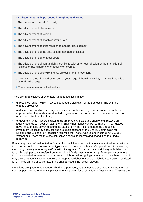#### **The thirteen charitable purposes in England and Wales**

- 1. The prevention or relief of poverty
- 2. The advancement of education
- 3. The advancement of religion
- 4. The advancement of health or saving lives
- 5. The advancement of citizenship or community development
- 6. The advancement of the arts, culture, heritage or science
- 7. The advancement of amateur sport
- 8. The advancement of human rights, conflict resolution or reconciliation or the promotion of religious or racial harmony or equality or diversity
- 9. The advancement of environmental protection or improvement
- 10. The relief of those in need by reason of youth, age, ill-health, disability, financial hardship or other disadvantage
- 11. The advancement of animal welfare

There are three classes of charitable funds recognised in law:

- unrestricted funds which may be spent at the discretion of the trustees in line with the charity's objectives
- restricted funds which can only be spent in accordance with, usually, written restrictions imposed when the funds were donated or granted or in accordance with the specific terms of an appeal raised for the charity
- endowment funds where capital funds are made available to a charity and trustees are legally required to invest or retain them. Endowment funds can be 'permanent' (i.e. trustees have no automatic power to spend the capital, only the income generated through its investment unless they apply for and are given consent by the Charity Commission for England and Wales or by resolution following the Trusts (Capital and income) Act 2013) OR 'expendable' (here the trustees can convert capital to income and spend it on the fund's purpose).

Funds may also be 'designated' or 'earmarked' which means that trustees can set aside unrestricted funds for a specific purpose or more typically for an area of the hospital's operations – for example, cardiology, urology or nursing staff benefits. Designating funds can be a useful way of building up funds through periodic transfers from unrestricted funds over time for a significant project or where funds are needed to meet on-going costs to which formal, on-going commitments have been made. It may also be a useful way to recognise the apparent wishes of donors which do not create a restricted fund. Funds can be undesignated if the original need is no longer relevant.

Donations are given to be spent on charitable purposes, so trustees are expected to spend them as soon as possible rather than simply accumulating them 'for a rainy day' or 'just in case'. Trustees are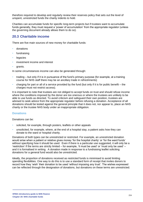therefore required to develop and regularly review their reserves policy that sets out the level of unspent, unrestricted funds the charity indents to hold.

Charities can accumulate funds for specific long-term projects but if trustees want to accumulate funds generally, they must request a 'power of accumulation' from the appropriate regulator (unless the governing document already allows them to do so).

## **20.3 Charitable income**

There are five main sources of new money for charitable funds:

- donations
- fundraising
- **legacies**
- investment income and interest
- grants.

In some circumstances income can also be generated through:

- trading but only if it is in pursuance of the fund's primary purpose (for example, at a training course for NHS staff there may be an ancillary trade in refreshments)
- charging for part or all of a service provided by the fund (but only if it is for public benefit the charges must not restrict access).

It is important to note that trustees are not obliged to accept funds on trust and should refuse income where the conditions imposed by the donor are too onerous or where the trustees are unlikely to be able to use funds as directed. To avoid criticism and safeguard their own position, trustees are advised to seek advice from the appropriate regulator before refusing a donation. Acceptance of all donations should be tested against the general principle that it does not, nor appear to, place an NHS charity or the trustee NHS body under an inappropriate obligation.

#### **Donations**

Donations can be:

- solicited, for example, through posters, leaflets or other appeals
- unsolicited, for example, where, at the end of a hospital stay, a patient asks how they can donate to the ward or hospital charity.

Donations of both types can be unrestricted or restricted. For example, an unrestricted donation would arise when a patient or relative gives money 'for the hospital charity' or 'for the ward funds' without specifying how it should be used. Even if there is a particular use suggested, it will only be a 'restriction' if the terms are strictly limited – for example, 'it must be used' or 'must only be used' – and it is formalised in writing. A donation made in response to a fundraising leaflet soliciting donations for a general fund would also be unrestricted.

Ideally, the proportion of donations received as restricted funds is minimised to avoid limiting spending flexibilities. One way to do this is to use a standard form of receipt that invites donors to record how they 'wish' their donation to be used 'without imposing any trust'. The wishes expressed can be reflected through the designation of donations, but donations on these terms are unrestricted.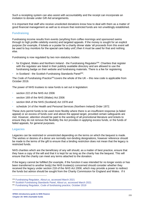Such a receipting system can also assist with accountability and the receipt can incorporate an invitation to donate under Gift Aid arrangements.

It is important that staff who receive unsolicited donations know how to deal with them as a matter of good financial management as well as to ensure that restricted funds are not unwittingly established.

#### **Fundraising**

Fundraising income results from events (anything from coffee mornings and sponsored swims through to high profile celebrity events) and targeted appeals. If the money is sought for an explicit purpose (for example, if tickets or a poster for a charity dinner state 'all proceeds from this event will be used to buy monitors for the special care baby unit') then it must be used for that and nothing else.

Fundraising is now regulated by two non-statutory bodies:

- for England, Wales and Northern Ireland the Fundraising Regulator<sup>259</sup>. Charities that register with the regulator are listed in their publicly available directory and are allowed to use the fundraising badge on their website and fundraising materials. There is a fee for registering.
- in Scotland the Scottish Fundraising Standards Panel<sup>260</sup>.

The *Code of Fundraising Practice*<sup>261</sup>covers the whole of the UK – this new code is applicable from October 2019.

The power of NHS trustees to raise funds is set out in legislation:

- section 222 of the NHS Act 2006
- section 169 of the NHS (Wales) Act 2006
- section 84A of the NHS (Scotland) Act 1978 and
- schedule 14 of the Health and Personal Services (Northern Ireland) Order 1972.

These Acts permit funds to be used more flexibly where there is an insufficient response (a failed appeal) or an excess of funds over and above the appeal target, provided certain safeguards are met. However, attention should be paid to the wording of all promotional literature and tickets to ensure they do not remove the flexibility the Act provides in applying excess funds, or the funds of failed appeals, for general purposes.

#### **Legacies**

Legacies can be restricted or unrestricted depending on the terms on which the bequest is made. The wishes or desires of a donor are normally non-binding designations, however reference should be made to the terms of the gift to ensure that a binding restriction does not mean that the legacy is restricted funds.

NHS charities which are the beneficiary of any will should, as a matter of best practice, ensure that they have a copy of the will and that it is kept for as long as the charity has the bequest. This will ensure that the charity can meet any terms attached to the donation.

If the legacy cannot be fulfilled (for example, if the function it was intended for no longer exists or has been transferred to another body) the NHS trustee(s) concerned should consider whether they received the legacy under section 218 of the *NHS Act 2006*, which may provide a power to redirect the funds but advice should be sought from the Charity Commission for England and Wales. If it

<sup>259</sup> [Fundraising Regulator,](https://www.fundraisingregulator.org.uk/more-from-us/about-us) *About us,* accessed March 2021

<sup>260</sup> [Scottish Fundraising Standards Panel,](https://www.goodfundraising.scot/) *About us,* accessed March 2021

<sup>261</sup> Fundraising Regulator, *[Code of fundraising practice,](https://www.fundraisingregulator.org.uk/code)* October 2019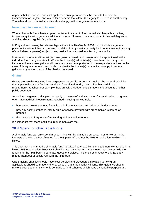appears that section 218 does not apply then an application must be made to the Charity Commission for England and Wales for a scheme that allows the legacy to be used in another way. Scottish and Northern Irish charities should apply to their regulator for a scheme.

#### **Investment income and interest**

Where charitable funds have surplus monies not needed to fund immediate charitable activities, trustees may invest to generate additional income. However, they must do so in line with legislation and the relevant regulator's guidance.

In England and Wales, the relevant legislation is the *Trustee Act 2000* which includes a general power of investment that can be used in relation to any charity property held on trust (except property of charitable companies) subject to any 'restriction or exclusion' affecting the charity.

Investment income and interest (and any gains or investment losses) must be apportioned to the individual fund that generates it. Where the trustee(s) administer(s) more than one charity, the income and investment gains and losses must also be apportioned to the respective charities. In the case of designated unrestricted funds of a charity the trustee(s) is permitted to apply investment gains for any of the objects of the charity concerned.

#### **Grants**

Grants are usually restricted income given for a specific purpose. As well as the general principles that apply to the use of (and accounting for) restricted funds, grants often have additional requirements attached. For example, how an acknowledgement is made in the accounts or other public documents.

As well as the general principles that apply to the use of and accounting for restricted funds, grants often have additional requirements attached including, for example:

- how an acknowledgement, if any, is made in the accounts and other public documents
- how any asset purchased, facility built, or service provided with grant monies is named or branded
- the nature and frequency of monitoring and evaluation reports.

It is important that these additional requirements are met.

## **20.4 Spending charitable funds**

A charitable fund can only spend money in line with its charitable purpose. In other words, in the interests of the fund's beneficiaries (i.e. NHS patients) and not the NHS organisation to which it is linked.

This does not mean that the charitable fund must itself purchase items of equipment etc. for use in its linked NHS organisation. Most NHS charities are grant making – this means that they provide the funding for the NHS body to purchase goods or services. This ensures that ownership (and any related liabilities) of assets rest with the NHS trust.

Grant making charities should have clear policies and procedures in relation to how grant applications should be made and what types of grant the charity will fund. This guidance should make it clear that grants can only be made to fund schemes which have a charitable purpose and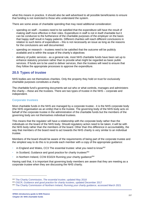what this means in practice. It should also be well advertised to all possible beneficiaries to ensure that funding is not restricted to those who understand the system.

There are some areas of charitable spending that may need additional consideration:

- spending on staff trustees need to be satisfied that the expenditure will have the result of making staff more effective in their roles. Expenditure in staff is not in itself charitable but it can be conducive to the furtherance of the charitable purposes of the employer on the basis that happy staff result in happy patients. Different charities will reach different conclusions in relation to such items of expenditure – this is not necessarily an issue as long as the reasons for the conclusions are well documented.
- spending on research trustees need to be satisfied that the outcome will be publicly available and is within the scope of the charity's objectives
- delivery of public services as a general rule, most NHS charitable funds have been set up to enhance statutory provision rather than to provide what might be regarded as basic public services. If funds are to be used to deliver services, then the trustees will need to ensure that they follow the appropriate processes to approve the expenditure.

## **20.5 Types of trustee**

NHS bodies are not themselves charities. Only the property they hold on trust for exclusively charitable purposes constitutes a charity.

The charitable fund's governing documents set out who or what controls, manages and administers the charity – these are the trustees. There are two types of trustee in the NHS – corporate and independent.

#### **Corporate trustees**

Most charitable funds in the NHS are managed by a corporate trustee - it is the NHS corporate body (the NHS organisation as an entity) that is the trustee. The governing body of the NHS body acts on behalf of the corporate trustee in the administration of the charitable funds but the members of the governing body are not themselves individual trustees.

This means that the regulator will have a relationship with the corporate body rather than the individuals on the board of the NHS body. Should regulatory action need to be taken, it will be with the NHS body rather than the members of the board. Other than this difference in accountability, the way that members of the board need to act towards the NHS charity is very similar to an individual trustee.

Members of the board should be aware of the requirements of being part of the corporate trustee and the simplest way to do this is to provide each member with a copy of the appropriate guidance:

- in England and Wales, CC3 The essential trustee: what you need to know<sup>262</sup>
- in Scotland, Guidance and good practice for charity trustees $^{263}$
- in Northern Ireland, CCNI EG024 Running your charity guidance<sup>264</sup>

Having said that, it is important that governing body members are aware that they are meeting as a corporate trustee when they are discussing the NHS charity.

<sup>262</sup> [The Charity Commission,](https://www.gov.uk/government/publications/the-essential-trustee-what-you-need-to-know-cc3) *The essential trustee*, updated May 2018

<sup>263</sup> OSCR, *[Guidance and good practice for charity trustees](https://www.oscr.org.uk/guidance-and-forms/managing-a-charity-guidance/guidance-and-good-practice-for-charity-trustees/)*, updated December 2017

<sup>264</sup> [The Charity Commission of Northern Ireland,](https://www.charitycommissionni.org.uk/charity-essentials/running-your-charity-guidance/) *Running your charity guidance,* accessed March 2021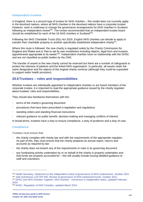#### **Independent trustees**

In England, there is a second type of trustee for NHS charities – this model does not currently apply in the devolved nations, where all NHS charities in the devolved nations have a corporate trustee. However, work is underway to change the governance arrangements for NHS charities in Scotland following an independent review<sup>265</sup>. The review recommended that an independent trustee board should be established for each of the 16 NHS charities in Scotland $^{266}$ .

Following the *NHS Charitable Trusts (Etc) Act 2016*, English NHS charities can decide to apply to transfer their charitable property to another specifically established independent charity<sup>267</sup>.

Where this route is followed, the new charity is regulated solely by the Charity Commission for England and Wales and is 'free to set its own constitution including objects, legal form and trustees appointments appropriate to its needs<sup>'268</sup>. Independent charities have no relationship with the DHSC and are not classified as public bodies by the ONS.

The transfer of assets to the new charity cannot be reversed but there are a number of safeguards to protect the interests of patients and the linked NHS organisation. In particular, all assets retain the same designation and the objects of the original charity continue (although they could be expanded to support wider health provision).

## **20.6Trustees – roles and responsibilities**

Whether trustees are individually appointed to independent charities or are board members of the corporate trustee, it is important to read the appropriate guidance issued by the charity regulator about trustees' roles and responsibilities.

They should also familiarise themselves with the:

- terms of the charity's governing document
- procedures that have been prescribed in legislation and regulations
- standing orders and standing financial instructions
- relevant guidance on public benefit, decision-making and managing conflicts of interest.

In broad terms, trustees have a duty to ensure compliance, a duty of prudence and a duty of care.

#### **Compliance**

Trustees must ensure that:

- the charity complies with charity law and with the requirements of the appropriate regulator. As part of this, they must ensure that the charity prepares its annual report, returns and accounts as required by law
- the charity does not breach any of the requirements or rules in its governing document
- any fundraising activity undertaken by or on behalf of the charity is properly undertaken and that funds are properly accounted for – this will usually include issuing detailed guidance to staff and volunteers.

<sup>265</sup> Health Secretary, *[Statement on the independent review of governance of NHS endowments](https://www.gov.scot/publications/health-secretary-humza-yousaf-updated-parliament-findings-independent-review-governance-nhs-endowments-charities-support-nhs/?msclkid=39dbe192c59011eca019dafce475e6fd)*, October 2021 <sup>266</sup> Julie Hutchinson LLB TEP WS, *[Review of governance of NHS endowment funds](https://www.gov.scot/publications/review-governance-nhs-endowment-funds/pages/3/?msclkid=39daef48c59011ecbddede6eef95d7eb)*, October 2021 <sup>267</sup> [DHSC and NHS Charities Together,](https://assets.publishing.service.gov.uk/government/uploads/system/uploads/attachment_data/file/868598/NHS_Charities-guidance-update_Feb_2020.pdf) *NHS charities - conversion to independent status*, updated February [2020](https://assets.publishing.service.gov.uk/government/uploads/system/uploads/attachment_data/file/868598/NHS_Charities-guidance-update_Feb_2020.pdf)

<sup>268</sup> DHSC, *[Regulation of NHS Charities](https://www.gov.uk/government/consultations/regulation-of-nhs-charities)*, updated March 2014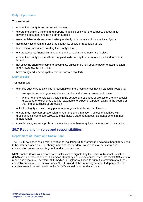## **Duty of prudence**

#### Trustees must:

- ensure the charity is and will remain solvent
- ensure the charity's income and property is applied solely for the purposes set out in its governing document and for no other purpose
- use charitable funds and assets wisely and only in furtherance of the charity's objects
- avoid activities that might place the charity, its assets or reputation at risk
- take special care when investing the charity's funds
- ensure adequate financial management and control arrangements are in place
- ensure the charity's expenditure is applied fairly amongst those who are qualified to benefit from it
- not allow the charity's income to accumulate unless there is a specific power of accumulation and a future use for it in mind
- have an agreed reserves policy that is reviewed regularly.

#### **Duty of care**

#### Trustees must:

- exercise such care and skill as is reasonable in the circumstances having particular regard to:
	- any special knowledge or experience that he or she has or professes to have
	- where he or she acts as a trustee in the course of a business or profession, to any special knowledge or experience that it is reasonable to expect of a person acting in the course of that kind of business or profession
- act with integrity and avoid any personal or organisational conflicts of interest
- ensure they have appropriate risk management plans in place. Trustees of charities with gross annual income over £500,000 must make a statement about risk management in their annual report
- consider using external professional advice where there may be a material risk to the charity.

## **20.7 Regulation – roles and responsibilities**

#### **Department of Health and Social Care**

The DHSC no longer has a role in relation to regulating NHS charities in England although they need to be informed when an NHS charity moves to independent status and may be involved in conversations at an earlier stage of that decision process.

NHS charities (those with a corporate trustee) are designated by the Office of National Statistics (ONS) as public sector bodies. This means that they need to be consolidated into the DHSC's annual report and accounts. Therefore, NHS bodies in England will need to submit information about their charitable funds to NHS Improvement/ NHS England at the financial year end. Independent NHS charities are not consolidated into the DHSC's annual report and accounts.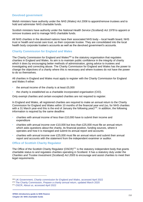#### **Devolved government**

Welsh ministers have authority under the *NHS (Wales) Act 2006* to appoint/remove trustees and to hold and administer NHS charitable funds.

Scottish ministers have authority under the *National Health Service (Scotland) Act 1978* to appoint or remove trustees and to manage NHS charitable funds.

All NHS charities in the devolved nations have their associated NHS body – local health board, NHS trust or health and social care trust, as their corporate trustee. They are consolidated into the local health body corporate trustee's accounts as well as the devolved government's accounts.

#### **Charity Commission for England and Wales**

The Charity Commission for England and Wales<sup>269</sup> is the statutory organisation that regulates charities in England and Wales. Its aim is to maintain public confidence in the integrity of charity which it does by encouraging better methods of administration, giving advice to trustees and investigating and correcting abuse. The Charity Commission for England and Wales has the power to change the objectives of a charity where this is necessary and where trustees do not have the power to do so themselves.

All charities in England and Wales must apply to register with the Charity Commission for England and Wales if either:

- the annual income of the charity is at least £5,000
- the charity is established as a charitable incorporated organisation (CIO).

Only exempt charities and certain excepted charities are not required to register.

In England and Wales, all registered charities are required to make an annual return to the Charity Commission for England and Wales within 10 months of the financial year end (so, for NHS charities with a 31 March year-end this is the end of January the following year)<sup>270</sup>. In addition, the following information is required by the same deadline:

- charities with annual income of less than  $£10,000$  have to submit their income and expenditure
- charities with annual income over £10,000 but less than £25,000 must file an annual return which asks questions about the charity, its financial position, funding sources, where it operates and how it is managed and submit its annual report and accounts
- charities with annual income over £25,000 must file an annual return and submit their annual report and accounts with the statement from the independent examiner or auditor.

#### **Office of Scottish Charity Regulator**

The Office of the Scottish Charity Regulator  $(OSCR)^{271}$  is the statutory independent body that grants charitable status to and regulates charities operating in Scotland. It has a statutory duty under the *Charities and Trustee Investment (Scotland) Act 2005* to encourage and assist charities to meet their legal requirements.

<sup>269</sup> UK Government, *[Charity commission for England and Wales,](https://www.gov.uk/government/organisations/charity-commission)* accessed April 2022

<sup>270</sup> The Charity Commission, *[Prepare a charity annual return,](https://www.gov.uk/guidance/prepare-a-charity-annual-return)* updated March 2020

<sup>271</sup> OSCR, *About us,* [accessed April 2022](https://www.oscr.org.uk/about-oscr/about-oscr/)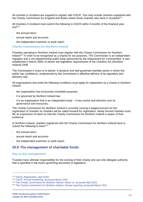All charities in Scotland are required to register with OSCR. This may include charities registered with the Charity Commission for England and Wales where those charities also work in Scotland<sup>272</sup>.

All charities in Scotland must submit the following to OSCR within 9 months of the financial yearend $^{273}$ :

- the annual return
- annual report and accounts
- the independent examiner or audit report.

**Charity Commission for Northern Ireland**

Charities operating in Northern Ireland must register with the Charity Commission for Northern Ireland<sup>274</sup> in order to be recognised as a charity for tax purposes. The Commission is an independent regulator and a non-departmental public body sponsored by the Department for Communities. It was established in March 2009, to deliver the legislative requirements of the *Charities Act (Northern Ireland) 2008*.

The Commission's vision is to deliver 'a dynamic and well governed charities sector in which the public has confidence, underpinned by the Commission's effective delivery of its regulatory and advisory role.'

All organisations that meet the following conditions must apply for registration as a charity in Northern Ireland:

- the organisation has exclusively charitable purposes
- it is governed by Northern Ireland law
- it is an organisation that is an independent body  $-$  it has control and direction over its governance and resources.

The Charity Commission for Northern Ireland is currently running a staged process for the registration of charities so charities will be called forward for registration. Newly formed charities must file an expression of intent so that the Charity Commission for Northern Ireland is aware of their existence.

In Northern Ireland, charities registered with the Charity Commission for Northern Ireland have to submit the following to them $275$ :

- the annual return
- annual report and accounts
- the independent examiner or audit report.

## **20.8 The management of charitable funds**

#### **Day-to-day management**

Trustees have ultimate responsibility for the running of their charity and can only delegate authority that is specified in the trust's governing document or legislation.

<sup>272</sup> OSCR, *[Registration,](https://www.oscr.org.uk/guidance-and-forms/cross-border-charity-regulation-in-scotland/registration/)* April 2018

<sup>273</sup> OSCR, *Annual monitoring*[, accessed March 2021](https://www.oscr.org.uk/managing-a-charity/annual-monitoring)

<sup>274</sup> [The Charity Commission for Northern Ireland,](https://www.charitycommissionni.org.uk/about-us/) *About us,* accessed April 2022

<sup>275</sup> [The Charity Commission for Northern Ireland,](https://www.charitycommissionni.org.uk/manage-your-charity/annual-reporting/) *Annual reporting*, accessed March 2021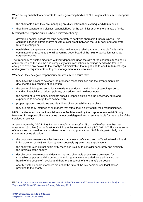When acting on behalf of corporate trustees, governing bodies of NHS organisations must recognise that:

- the charitable funds they are managing are distinct from their exchequer (NHS) monies
- they have separate and distinct responsibilities for the administration of the charitable funds.

Meeting these responsibilities is best achieved either by:

- governing bodies/ boards meeting separately to deal with charitable funds business. This could be either on different days or with a clear break between the NHS body and corporate trustee meetings or
- establishing a separate committee to deal with matters relating to the charitable funds this committee then reports to the full governing body/ board of the NHS organisation acting as corporate trustee.

The frequency of trustee meetings will vary depending upon the size of the charitable funds being administered and the volume and complexity of its transactions. Meetings need to be frequent enough to avoid any delays to the charity's administration that might lead to a failure to meet legal and regulatory requirements or to poor management of its resources.

Whenever they delegate responsibility, trustees must ensure that:

- they have the power to delegate the proposed responsibilities and the arrangements are documented in a scheme of delegation
- the scope of delegated authority is clearly written down in the form of standing orders, standing financial instructions, policies, procedures and guidance notes
- the person(s) to whom they delegate specific responsibilities has the necessary skills and experience to discharge them competently
- proper reporting procedures and clear lines of accountability are in place
- they are properly informed of all matters that affect their ability to fulfil their responsibilities.

NHS charities often use the financial services facilities used by the corporate trustee NHS body. However, its responsibilities as trustee cannot be delegated and it remains liable for the quality of the services it receives.

A recent inquiry by OSCR, *Inquiry report made under section 33 of the Charities and Trustee Investment (Scotland) Act – Tayside NHS Board Endowment Funds (SC011042)*<sup>276</sup> illustrates some of the issues that need to be considered when making grants to an NHS body, particularly in a corporate trustee situation:

- the corporate trustee was effectively acting to meet a deficit incurred by Tayside Health Board in its provision of NHS services by retrospectively agreeing grant applications
- the charity trustee did not sufficiently recognise its duty to consider separately and distinctly the interests of the charity
- despite poor governance and decision making, charitable assets were only used for charitable purposes and the projects to which grants were awarded were advancing the health of the people of Tayside and therefore in pursuit of the charity's purposes
- charity trustee's board members did not at the time of the key decision see legal advice provided to the charity

<sup>276</sup> OSCR, *Inquiry report made under section [33 of the Charities and Trustee Investment \(Scotland\) Act –](https://www.oscr.org.uk/media/3465/2019-01-31-section-33-report-final-pdf.pdf) [Tayside NHS Board Endowment Funds](https://www.oscr.org.uk/media/3465/2019-01-31-section-33-report-final-pdf.pdf)*, February 2019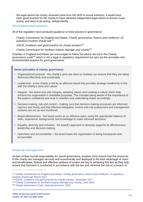• the legal advice the charity received came from the NHS in-house solicitors, it would have been good practice for the charity to have obtained independent legal advice to ensure it was acting, and seen to be acting, independently.

#### **Governance best practice**

All of the regulators have produced guidance on best practice in governance:

- Charity Commission for England and Wales, *Charity governance, finance and resilience: 15 questions trustees should ask*<sup>277</sup>
- OSCR, *Guidance and good practice for charity trustees*<sup>278</sup>
- Charity Commission for Northern Ireland, *Manage your charity*<sup>279</sup>

Charities in England and Wales are encouraged to follow the advice set out in the *Charity governance code*<sup>280</sup> which is not a legal or regulatory requirement but sets out the principles and recommended practice for good governance.

#### **Seven principles of charity governance**

- 1. Organisational purpose the charity's aims are clear so trustees can ensure that they are being delivered effectively and sustainably.
- 2. Leadership every charity is led by an effective board that provides strategic leadership in line with the charity's aims and values.
- 3. Integrity the board acts with integrity, adopting values and creating a culture which help achieve the organisation's charitable purposes. This includes being aware of the importance of the public's confidence and trust in charities and undertaking duties accordingly.
- 4. Decision-making, risk and control making sure that decision-making processes are informed, rigorous and timely and that effective delegation, control and risk assessment and management systems are set up and monitored.
- 5. Board effectiveness the board works as an effective team, using the appropriate balance of skills, experience, backgrounds and knowledge to make informed decisions.
- 6. Equality, diversity and inclusion the board's approach to diversity supports its effectiveness, leadership and decision-making.
- 7. Openness and accountability the board leads the organisation in being transparent and accountable.

#### **Financial management**

As part of their overall responsibility for sound governance, trustees must ensure that the resources of the charity are managed securely and economically and deployed to the best advantage of users and beneficiaries. Robust and effective systems of control are key to achieving this aim as they help ensure that business is conducted in accordance with the law and minimise the risk of a breach of

<sup>277</sup> Charity Commission for England and Wales, *[Charity governance, finance and resilience: 15 questions](https://www.gov.uk/government/publications/charity-trustee-meetings-15-questions-you-should-ask/charity-trustee-meetings-15-questions-you-should-ask)  [trustees should ask,](https://www.gov.uk/government/publications/charity-trustee-meetings-15-questions-you-should-ask/charity-trustee-meetings-15-questions-you-should-ask)* March 2017

<sup>278</sup> OSCR, *[Guidance and good practice for charity trustees,](https://www.oscr.org.uk/guidance-and-forms/guidance-and-good-practice-for-charity-trustees/)* December 2017

<sup>279</sup> [Charity Commission for Northern Ireland,](https://www.charitycommissionni.org.uk/manage-your-charity/annual-reporting/) *Manage your charity,* June 2019

<sup>280</sup> [Charity Governance Code,](https://www.charitygovernancecode.org/en) *Good governance*, 2020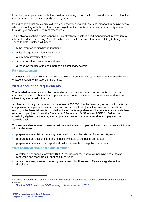trust. They also play an essential role in demonstrating to potential donors and beneficiaries that the charity is well run, and its property is safeguarded.

Sound controls that are clearly laid down and reviewed regularly are also important in helping people who, while acting with the best intentions, might put the charity, its reputation or property at risk through ignorance of the correct procedures.

To be able to discharge their responsibilities effectively, trustees need management information to inform their decision-making. As well as the more usual financial information relating to budget and spend to date, trustees will need:

- to be informed of significant donations
- a list of large or significant transactions
- a summary investment report
- a report on slow moving or overdrawn funds
- a report on the use of the chairperson's discretionary powers.

#### **Risk management**

Trustees should maintain a risk register and review it on a regular basis to ensure the effectiveness of actions taken to mitigate identified risks.

### **20.9 Accounting requirements**

The detailed requirements for the preparation and submission of annual accounts of individual charities that are not charitable companies depend upon their level of income or expenditure and where they are based in the UK.

All charities with a gross annual income of over £250,000<sup>281</sup> in the financial year (and all charitable companies) must prepare their accounts on an accruals basis (i.e. all income and expenditure relating to the financial year is included in the accounts regardless of whether cash has actually been received or paid) and follow the *Statement of Recommended Practice (SORP)*<sup>282</sup>. Below this threshold, eligible charities may elect to prepare their accounts on a receipts and payments or accruals basis.

Trustees are also required to ensure that the charity keeps proper books and records. As a minimum, all charities must:

- prepare and maintain accounting records which must be retained for at least 6 years
- prepare annual accounts and make these available to the public on request
- prepare a trustees' annual report and make it available to the public on request.

#### **What charity accruals accounts comprise**

- a statement of financial activities (SOFA) for the year that shows all incoming and outgoing resources and reconciles all changes in its funds
- a balance sheet, showing the recognised assets, liabilities and different categories of fund of the charity

<sup>&</sup>lt;sup>281</sup> These thresholds are subject to change. The current thresholds are available on the relevant regulator's website.

<sup>282</sup> Charities SORP, *[About the SORP-making body,](https://www.charitiessorp.org/about-us/)* accessed April 2022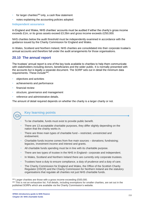- for larger charities<sup>283</sup> only, a cash flow statement
- notes explaining the accounting policies adopted.

#### **Independent assurance**

In England and Wales, NHS charities' accounts must be audited if either the charity's gross income exceeds £1m, or its gross assets exceed £3.26m and gross income exceeds £250,000.

NHS charities below the audit threshold must be independently examined in accordance with the guidance issued by the Charity Commission for England and Wales.

In Wales, Scotland and Northern Ireland, NHS charities are consolidated into their corporate trustee's annual accounts and therefore fall under the audit arrangements for those organisations.

## **20.10 The annual report**

The trustees' annual report is one of the key tools available to charities to help them communicate with stakeholders including donors, beneficiaries and the wider public. It is normally presented with the accounts but is legally a separate document. The SORP sets out in detail the minimum data requirements. These include<sup>284</sup>:

- objectives and activities
- achievements and performance
- financial review
- structure, governance and management
- reference and administrative details.

The amount of detail required depends on whether the charity is a larger charity or not.



## **Key learning points**

- To be charitable, funds must exist to provide public benefit.
- There are 13 acceptable charitable purposes, they differ slightly depending on the nation that the charity works in.
- There are three main types of charitable fund restricted, unrestricted and endowment.
- Charitable funds income comes from five main sources donations; fundraising; legacies, investment income and interest and grants.
- All charitable funds spending must be in line with its charitable purpose.
- There are two types of trustee in the NHS in England– corporate and independent.
- In Wales, Scotland and Northern Ireland there are currently only corporate trustees.
- Trustees have a duty to ensure compliance, a duty of prudence and a duty of care.
- The Charity Commission for England and Wales, the Office of the Scottish Charity Regulator (OSCR) and the Charity Commission for Northern Ireland are the statutory organisations that regulate all charities not just NHS charitable funds.

<sup>&</sup>lt;sup>283</sup> Larger charities are those with a gross income exceeding £500,000.

<sup>&</sup>lt;sup>284</sup> This is not an exhaustive list. Full details, including exemptions for smaller charities, are set out in the published SORPs which are available via the Charity Commission's website.